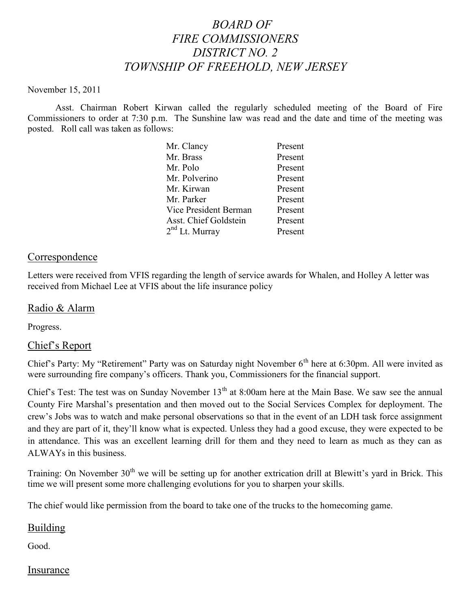# *BOARD OF FIRE COMMISSIONERS DISTRICT NO. 2 TOWNSHIP OF FREEHOLD, NEW JERSEY*

#### November 15, 2011

Asst. Chairman Robert Kirwan called the regularly scheduled meeting of the Board of Fire Commissioners to order at 7:30 p.m. The Sunshine law was read and the date and time of the meeting was posted. Roll call was taken as follows:

| Mr. Clancy                 | Present |
|----------------------------|---------|
| Mr. Brass                  | Present |
| Mr. Polo                   | Present |
| Mr. Polverino              | Present |
| Mr. Kirwan                 | Present |
| Mr. Parker                 | Present |
| Vice President Berman      | Present |
| Asst. Chief Goldstein      | Present |
| 2 <sup>nd</sup> Lt. Murray | Present |

# **Correspondence**

Letters were received from VFIS regarding the length of service awards for Whalen, and Holley A letter was received from Michael Lee at VFIS about the life insurance policy

# Radio & Alarm

Progress.

#### Chief's Report

Chief's Party: My "Retirement" Party was on Saturday night November 6<sup>th</sup> here at 6:30pm. All were invited as were surrounding fire company's officers. Thank you, Commissioners for the financial support.

Chief's Test: The test was on Sunday November  $13<sup>th</sup>$  at 8:00am here at the Main Base. We saw see the annual County Fire Marshal's presentation and then moved out to the Social Services Complex for deployment. The crew's Jobs was to watch and make personal observations so that in the event of an LDH task force assignment and they are part of it, they'll know what is expected. Unless they had a good excuse, they were expected to be in attendance. This was an excellent learning drill for them and they need to learn as much as they can as ALWAYs in this business.

Training: On November 30<sup>th</sup> we will be setting up for another extrication drill at Blewitt's yard in Brick. This time we will present some more challenging evolutions for you to sharpen your skills.

The chief would like permission from the board to take one of the trucks to the homecoming game.

# Building

Good.

#### **Insurance**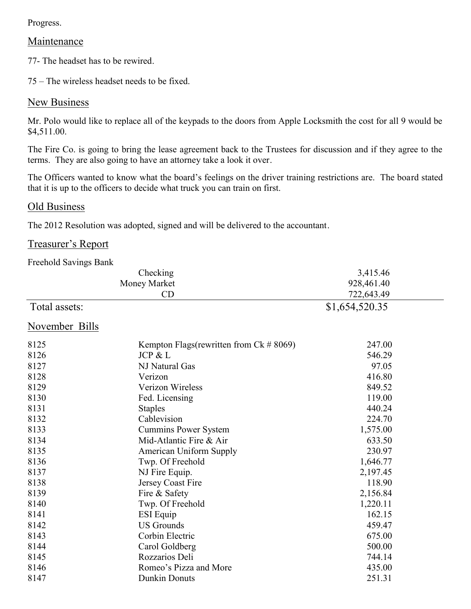Progress.

# **Maintenance**

77- The headset has to be rewired.

75 – The wireless headset needs to be fixed.

# **New Business**

Mr. Polo would like to replace all of the keypads to the doors from Apple Locksmith the cost for all 9 would be \$4,511.00.

The Fire Co. is going to bring the lease agreement back to the Trustees for discussion and if they agree to the terms. They are also going to have an attorney take a look it over.

The Officers wanted to know what the board's feelings on the driver training restrictions are. The board stated that it is up to the officers to decide what truck you can train on first.

#### Old Business

The 2012 Resolution was adopted, signed and will be delivered to the accountant.

# Treasurer's Report

Freehold Savings Bank

|                | Checking                                       | 3,415.46       |  |
|----------------|------------------------------------------------|----------------|--|
| Money Market   |                                                | 928,461.40     |  |
|                | CD                                             | 722,643.49     |  |
| Total assets:  |                                                | \$1,654,520.35 |  |
| November Bills |                                                |                |  |
| 8125           | Kempton Flags (rewritten from $Ck \neq 8069$ ) | 247.00         |  |
| 8126           | JCP & L                                        | 546.29         |  |
| 8127           | NJ Natural Gas                                 | 97.05          |  |
| 8128           | Verizon                                        | 416.80         |  |
| 8129           | Verizon Wireless                               | 849.52         |  |
| 8130           | Fed. Licensing                                 | 119.00         |  |
| 8131           | <b>Staples</b>                                 | 440.24         |  |
| 8132           | Cablevision                                    | 224.70         |  |
| 8133           | <b>Cummins Power System</b>                    | 1,575.00       |  |
| 8134           | Mid-Atlantic Fire & Air                        | 633.50         |  |
| 8135           | <b>American Uniform Supply</b>                 | 230.97         |  |
| 8136           | Twp. Of Freehold                               | 1,646.77       |  |
| 8137           | NJ Fire Equip.                                 | 2,197.45       |  |
| 8138           | Jersey Coast Fire                              | 118.90         |  |
| 8139           | Fire & Safety                                  | 2,156.84       |  |
| 8140           | Twp. Of Freehold                               | 1,220.11       |  |
| 8141           | <b>ESI</b> Equip                               | 162.15         |  |
| 8142           | <b>US Grounds</b>                              | 459.47         |  |
| 8143           | Corbin Electric                                | 675.00         |  |
| 8144           | Carol Goldberg                                 | 500.00         |  |
| 8145           | Rozzarios Deli                                 | 744.14         |  |
| 8146           | Romeo's Pizza and More                         | 435.00         |  |
| 8147           | <b>Dunkin Donuts</b>                           | 251.31         |  |